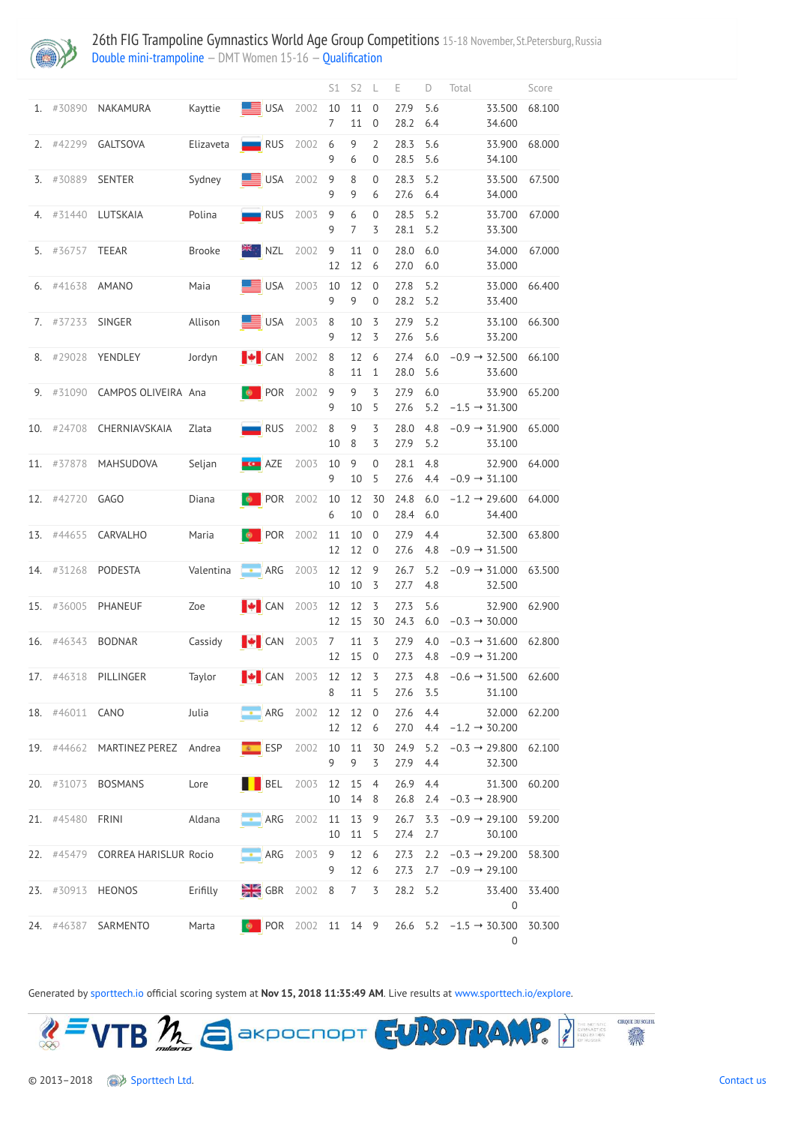

26th FIG Trampoline Gymnastics World Age Group Competitions 15-18 November, St.Petersburg, Russia [Double mini-trampoline](http://192.168.1.10:9001/event/DMT) — DMT Women 15-16 — [Qualification](http://192.168.1.10:9001/stages/9)

|     |                  |                      |               |                                   |      | S1                   | S <sub>2</sub>      | $\perp$                          | Е                | D          | Total                                                      |                                     | Score  |
|-----|------------------|----------------------|---------------|-----------------------------------|------|----------------------|---------------------|----------------------------------|------------------|------------|------------------------------------------------------------|-------------------------------------|--------|
|     | 1. #30890        | NAKAMURA             | Kayttie       | $\blacksquare$ USA                | 2002 | 10<br>7              | 11<br>11            | $\overline{0}$<br>$\overline{0}$ | 27.9<br>28.2     | 5.6<br>6.4 |                                                            | 33.500<br>34.600                    | 68.100 |
|     | $2.$ #42299      | <b>GALTSOVA</b>      | Elizaveta     | $\blacksquare$ RUS                | 2002 | 6<br>9               | 9<br>6              | $\overline{2}$<br>$\overline{0}$ | 28.3<br>28.5     | 5.6<br>5.6 |                                                            | 33.900<br>34.100                    | 68.000 |
|     | 3. #30889        | <b>SENTER</b>        | Sydney        | $\blacksquare$ USA                | 2002 | 9<br>9               | 8<br>9              | $\overline{0}$<br>6              | 28.3<br>27.6     | 5.2<br>6.4 |                                                            | 33.500<br>34.000                    | 67.500 |
|     | 4. #31440        | LUTSKAIA             | Polina        | $\blacksquare$ RUS                | 2003 | 9<br>9               | 6<br>$\overline{7}$ | $\boldsymbol{0}$<br>3            | 28.5<br>28.1     | 5.2<br>5.2 |                                                            | 33.700<br>33.300                    | 67.000 |
| 5.  | #36757           | <b>TEEAR</b>         | <b>Brooke</b> | $\mathbb{R}$ NZL                  | 2002 | $\overline{9}$<br>12 | 11<br>12            | $\overline{0}$<br>6              | 28.0<br>27.0     | 6.0<br>6.0 |                                                            | 34.000<br>33.000                    | 67.000 |
|     | 6. #41638        | AMANO                | Maia          | $\equiv$ USA 2003                 |      | 10<br>9              | 12<br>9             | $\overline{0}$<br>$\overline{0}$ | 27.8<br>28.2     | 5.2<br>5.2 |                                                            | 33.000<br>33.400                    | 66.400 |
|     | 7. #37233        | SINGER               | Allison       | $\blacksquare$ USA                | 2003 | $8\,$<br>9           | 10<br>12            | 3<br>3                           | 27.9<br>27.6     | 5.2<br>5.6 |                                                            | 33.100<br>33.200                    | 66.300 |
|     | 8. #29028        | YENDLEY              | Jordyn        | $\parallel \bullet \parallel$ CAN | 2002 | $8\,$<br>8           | 12<br>11            | 6<br>$\mathbf{1}$                | 27.4<br>28.0     | 6.0<br>5.6 |                                                            | $-0.9 \rightarrow 32.500$<br>33.600 | 66.100 |
|     | 9. #31090        | CAMPOS OLIVEIRA Ana  |               | <b>D</b> POR                      | 2002 | 9<br>9               | 9<br>10             | 3<br>5                           | 27.9<br>27.6     | 6.0<br>5.2 |                                                            | 33.900<br>$-1.5 \rightarrow 31.300$ | 65.200 |
|     | 10. #24708       | CHERNIAVSKAIA        | Zlata         | $\blacksquare$ RUS                | 2002 | 8<br>10              | 9<br>8              | 3<br>3                           | 28.0<br>27.9     | 4.8<br>5.2 |                                                            | $-0.9 \rightarrow 31.900$<br>33.100 | 65.000 |
|     | 11. #37878       | MAHSUDOVA            | Seljan        | $\overline{\phantom{a}}$ AZE      | 2003 | 10<br>9              | 9<br>10             | $\overline{0}$<br>5              | 28.1<br>27.6     | 4.8<br>4.4 |                                                            | 32.900<br>$-0.9 \rightarrow 31.100$ | 64.000 |
| 12. | #42720           | GAGO                 | Diana         | POR<br>φ                          | 2002 | 10<br>6              | 12<br>10 0          | 30                               | 24.8<br>28.4 6.0 | 6.0        |                                                            | $-1.2 \rightarrow 29.600$<br>34.400 | 64.000 |
|     |                  | 13. #44655 CARVALHO  | Maria         | <b>POR</b> 2002 11 10 0           |      | 12                   | 12 0                |                                  | 27.9<br>27.6     | 4.4        | 4.8 $-0.9 \rightarrow 31.500$                              | 32.300                              | 63.800 |
|     |                  | 14. #31268 PODESTA   |               | Valentina <b>- ARG</b> 2003       |      | 12 12 9<br>10        | 10                  | $\overline{3}$                   | 26.7<br>27.7     | 5.2<br>4.8 |                                                            | $-0.9 \rightarrow 31.000$<br>32.500 | 63.500 |
|     |                  | 15. #36005 PHANEUF   | Zoe           | $\blacktriangleright$ CAN 2003    |      | 12 12<br>12          | 15                  | $\overline{3}$<br>30             | 27.3<br>24.3     | 5.6        | $6.0 -0.3 \rightarrow 30.000$                              | 32.900                              | 62.900 |
|     |                  | 16. #46343 BODNAR    | Cassidy       | $\bullet$ CAN 2003 7 11 3         |      |                      | 12 15               | $\overline{0}$                   | 27.9<br>27.3     | 4.0        | $-0.3 \rightarrow 31.600$<br>4.8 $-0.9 \rightarrow 31.200$ |                                     | 62.800 |
|     |                  | 17. #46318 PILLINGER | Taylor        | $\bullet$ CAN 2003 12 12 3        |      | 8                    | 11                  | - 5                              | 27.3<br>27.6     | 4.8<br>3.5 | 31.100                                                     | $-0.6 \rightarrow 31.500$           | 62.600 |
|     | 18. #46011 CANO  |                      | Julia         | <b>ARG</b> 2002 12 12 0           |      |                      | 12 12 6             |                                  | 27.6<br>27.0     |            | 4.4<br>4.4 $-1.2 \rightarrow 30.200$                       | 32.000                              | 62.200 |
|     | 19. #44662       | MARTINEZ PEREZ       | Andrea        | ESP                               | 2002 | 9                    | 10 11 30<br>9       | 3                                | 24.9<br>27.9     | 5.2<br>4.4 | $-0.3 \rightarrow 29.800$                                  | 32.300                              | 62.100 |
|     |                  | 20. #31073 BOSMANS   | Lore          | BEL 2003 12 15                    |      | 10                   | 14                  | $\overline{4}$<br>8              | 26.9<br>26.8     | 4.4        | $2.4 -0.3 \rightarrow 28.900$                              | 31.300                              | 60.200 |
|     | 21. #45480 FRINI |                      | Aldana        | ARG 2002 11 13 9                  |      |                      | 10 11 5             |                                  | 27.4 2.7         |            | $26.7$ 3.3 $-0.9 \rightarrow 29.100$                       | 30.100                              | 59.200 |



Generated by [sporttech.io](https://sporttech.io/) official scoring system at **Nov 15, 2018 11:35:49 AM**. Live results at [www.sporttech.io/explore.](https://sporttech.io/explore)